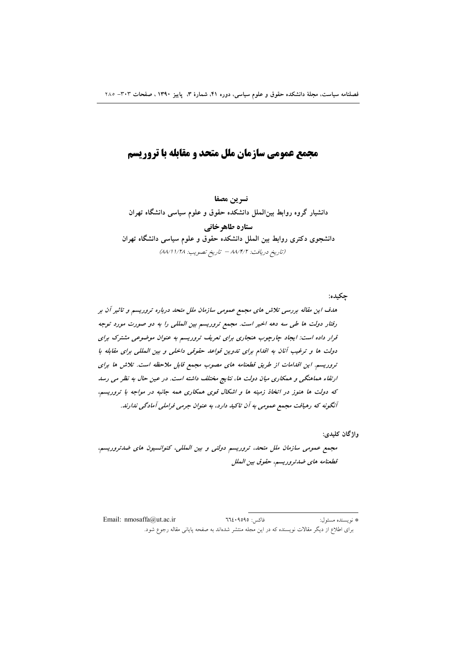# مجمع عمومي سازمان ملل متحد و مقابله با تروريسم

نسرين مصفا دانشیار گروه روابط بین الملل دانشکده حقوق و علوم سیاسی دانشگاه تهران

ستارہ طاھرخانی دانشجوی دکتری روابط بین الملل دانشکده حقوق و علوم سیاسی دانشگاه تهران (تاريخ دريافت: ٨٨/٢/٢ - تاريخ تصويب: ٨٨/١١/٢٨)

چکیده: هدف این مقاله بررسی تلاش های مجمع عمومی سازمان ملل متحد درباره تروریسم و تاثیر آن بر رفتار دولت ها طی سه دهه اخیر است. مجمع تروریسم بین المللی را به دو صورت مورد توجه قرار داده است: ایجاد چارچوب هنجاری برای تعریف تروریسم به عنوان موضوعی مشترک برای دولت ها و ترغیب آنان به اقدام برای تدوین قواعد حقوقی داخلی و بین المللی برای مقابله با تروریسم. این اقدامات از طریق قطعنامه های مصوب مجمع قابل ملاحظه است. تلاش ها برای ارتقاء هماهنگی و همکاری میان دولت ها، نتایج مختلف داشته است. در عین حال به نظر می رسد که دولت ها هنوز در اتخاذ زمینه ها و اشکال قوی همکاری همه جانبه در مواجه با تروریسم، آنگونه که رهپافت مجمع عمومی به آن تاکید دارد، به عنوان جرمی فراملی آمادگی ندارند.

واژگان کليدي:

مجمع عمومی سازمان ملل متحد، تروریسم دولتی و بین المللی، کنوانسیون های ضدتروریسم، قطعنامه هاى ضدتروريسم، حقوق بين الملل

فاكس: ٩٥٩٥؟٢٦٤ Email: nmosaffa@ut.ac.ir # نو يسنده مسئول: برای اطلاع از دیگر مقالات نویسنده که در این مجله منتشر شدهاند به صفحه پایانی مقاله رجوع شود.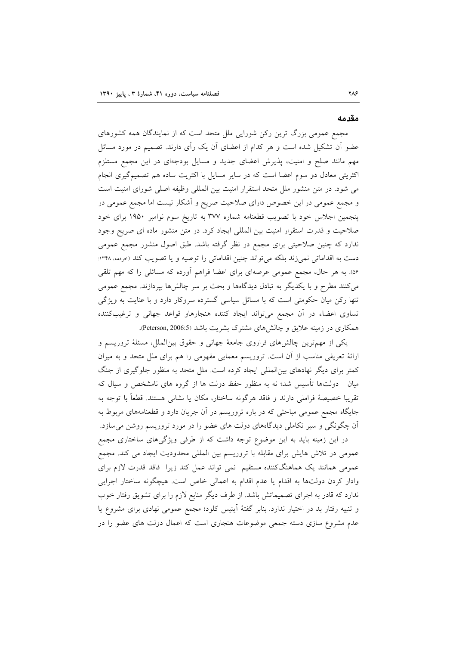#### مقدمه

مجمع عمومی بزرگ ترین رکن شورایی ملل متحد است که از نمایندگان همه کشورهای عضو آن تشکیل شده است و هر کدام از اعضای آن یک رأی دارند. تصمیم در مورد مسائل مهم مانند صلح و امنیت، پذیرش اعضای جدید و مسایل بودجهای در این مجمع مستلزم اکثریتی معادل دو سوم اعضا است که در سایر مسایل با اکثریت ساده هم تصمیمگیری انجام می شود. در متن منشور ملل متحد استقرار امنیت بین المللی وظیفه اصلی شورای امنیت است و مجمع عمومی در این خصوص دارای صلاحیت صریح و أشکار نیست اما مجمع عمومی در پنجمین اجلاس خود با تصویب قطعنامه شماره ۳۷۷ به تاریخ سوم نوامبر ۱۹۵۰ برای خود صلاحیت و قدرت استقرار امنیت بین المللی ایجاد کرد. در متن منشور ماده ای صریح وجود ندارد که چنین صلاحیتی برای مجمع در نظر گرفته باشد. طبق اصول منشور مجمع عمومی دست به اقداماتی نمیزند بلکه می تواند چنین اقداماتی را توصیه و یا تصویب کند (حردمه، ۱۳۴۸: ۵۶٪. به هر حال، مجمع عمومی عرصهای برای اعضا فراهم آورده که مسائلی را که مهم تلقی میکنند مطرح و با یکدیگر به تبادل دیدگاهها و بحث بر سر چالشها بپردازند. مجمع عمومی تنها رکن میان حکومتی است که با مسائل سیاسی گسترده سروکار دارد و با عنایت به ویژگی تساوی اعضاء در أن مجمع میٍتواند ایجاد کننده هنجارهاو قواعد جهانی و ترغیبکننده همکاری در زمینه علایق و چالشهای مشترک بشریت باشد (Peterson, 2006:5).

یکی از مهمترین چالشهای فراروی جامعهٔ جهانی و حقوق بینالملل، مسئلهٔ تروریسم و ارائهٔ تعریفی مناسب از آن است. تروریسم معمایی مفهومی را هم برای ملل متحد و به میزان کمتر برای دیگر نهادهای بین|لمللی ایجاد کرده است. ملل متحد به منظور جلوگیری از جنگ میان ً دولتها تأسیس شد؛ نه به منظور حفظ دولت ها از گروه های نامشخص و سیال که تقريبا خصيصهٔ فراملي دارند و فاقد هرگونه ساختار، مكان يا نشاني هستند. قطعاً با توجه به جایگاه مجمع عمومی مباحثی که در باره تروریسم در آن جریان دارد و قطعنامههای مربوط به آن چگونگی و سیر تکاملی دیدگاههای دولت های عضو را در مورد تروریسم روشن میسازد.

در این زمینه باید به این موضوع توجه داشت که از طرفی ویژگیهای ساختاری مجمع عمومی در تلاش هایش برای مقابله با تروریسم بین المللی محدودیت ایجاد می کند. مجمع عمومی همانند یک هماهنگکننده مستقیم نمی تواند عمل کند زیرا فاقد قدرت لازم برای وادار کردن دولتها به اقدام یا عدم اقدام به اعمالی خاص است. هیچگونه ساختار اجرایی ندارد که قادر به اجرای تصمیماتش باشد. از طرف دیگر منابع لازم را برای تشویق رفتار خوب و تنبیه رفتار بد در اختیار ندارد. بنابر گفتهٔ آینیس کلود؛ مجمع عمومی نهادی برای مشروع یا عدم مشروع سازی دسته جمعی موضوعات هنجاری است که اعمال دولت های عضو را در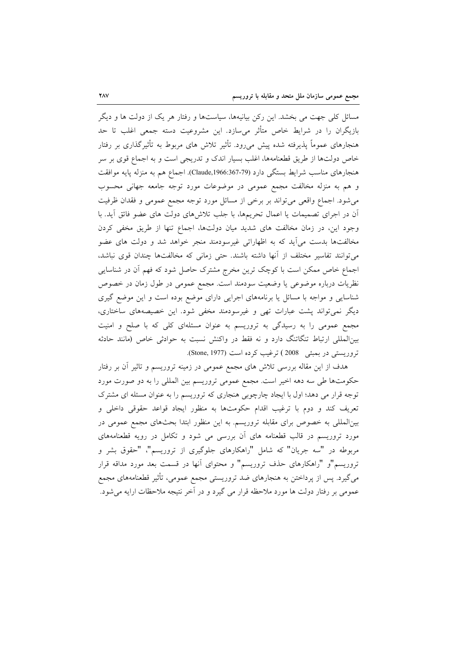مسائل کلی جهت می بخشد. این رکن بیانیهها، سیاستها و رفتار هر یک از دولت ها و دیگر بازیگران را در شرایط خاص متأثر میسازد. این مشروعیت دسته جمعی اغلب تا حد هنجارهای عموماً پذیرفته شده پیش میرود. تأثیر تلاش های مربوط به تأثیرگذاری بر رفتار خاص دولتها از طریق قطعنامهها، اغلب بسیار اندک و تدریجی است و به اجماع قوی بر سر هنجارهای مناسب شرایط بستگی دارد (Claude,1966:367-79). اجماع هم به منزله پایه موافقت و هم به منزله مخالفت مجمع عمومی در موضوعات مورد توجه جامعه جهانی محسوب می شود. اجماع واقعی می تواند بر برخی از مسائل مورد توجه مجمع عمومی و فقدان ظرفیت آن در اجرای تصمیمات یا اعمال تحریمها، با جلب تلاشهای دولت های عضو فائق آید. با وجود این، در زمان مخالفت های شدید میان دولتها، اجماع تنها از طریق مخفی کردن مخالفتها بدست می آید که به اظهاراتی غیرسودمند منجر خواهد شد و دولت های عضو می توانند تفاسیر مختلف از آنها داشته باشند. حتی زمانی که مخالفتها چندان قوی نباشد، اجماع خاص ممکن است با کوچک ترین مخرج مشترک حاصل شود که فهم أن در شناسایی نظریات درباره موضوعی یا وضعیت سودمند است. مجمع عمومی در طول زمان در خصوص شناسایی و مواجه با مسائل یا برنامههای اجرایی دارای موضع بوده است و این موضع گیری دیگر نمیتواند پشت عبارات تھی و غیرسودمند مخفی شود. این خصیصههای ساختاری، مجمع عمومی را به رسیدگی به تروریسم به عنوان مسئلهای کلی که با صلح و امنیت بینالمللی ارتباط تنگاتنگ دارد و نه فقط در واکنش نسبت به حوادثی خاص (مانند حادثه تروريستي در بمبئي 2008) ترغيب كرده است (Stone, 1977).

هدف از این مقاله بررسی تلاش های مجمع عمومی در زمینه تروریسم و تاثیر آن بر رفتار حکومتها طی سه دهه اخیر است. مجمع عمومی تروریسم بین المللی را به دو صورت مورد توجه قرار می دهد؛ اول با ایجاد چارچوبی هنجاری که تروریسم را به عنوان مسئله ای مشترک تعریف کند و دوم با ترغیب اقدام حکومتها به منظور ایجاد قواعد حقوقی داخلی و بینالمللی به خصوص برای مقابله تروریسم. به این منظور ابتدا بحثهای مجمع عمومی در مورد تروریسم در قالب قطعنامه های آن بررسی می شود و تکامل در رویه قطعنامههای مربوطه در "سه جریان" که شامل "راهکارهای جلوگیری از تروریسم"، "حقوق بشر و تروریسم"و "راهکارهای حذف تروریسم" و محتوای آنها در قسمت بعد مورد مداقه قرار میگیرد. پس از پرداختن به هنجارهای ضد تروریستی مجمع عمومی، تأثیر قطعنامههای مجمع عمومي بر رفتار دولت ها مورد ملاحظه قرار مي گيرد و در آخر نتيجه ملاحظات ارايه مي شود.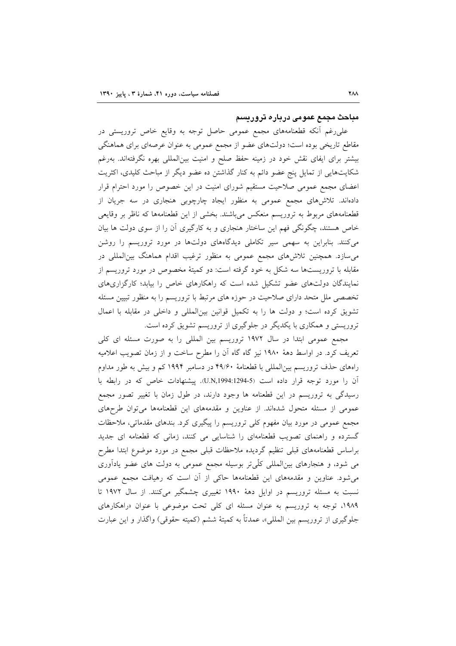#### مباحث مجمع عمومی درباره تروریسم

علی رغم آنکه قطعنامههای مجمع عمومی حاصل توجه به وقایع خاص تروریستی در مقاطع تاریخی بوده است؛ دولتهای عضو از مجمع عمومی به عنوان عرصهای برای هماهنگی بیشتر برای ایفای نقش خود در زمینه حفظ صلح و امنیت بین|لمللی بهره نگرفته|ند. بهرغم شکایتهایی از تمایل پنج عضو دائم به کنار گذاشتن ده عضو دیگر از مباحث کلیدی، اکثریت اعضای مجمع عمومی صلاحیت مستقیم شورای امنیت در این خصوص را مورد احترام قرار دادهاند. تلاش۵های مجمع عمومی به منظور ایجاد چارچوبی هنجاری در سه جریان از قطعنامههای مربوط به تروریسم منعکس میباشند. بخشی از این قطعنامهها که ناظر بر وقایعی خاص هستند، چگونگی فهم این ساختار هنجاری و به کارگیری آن را از سوی دولت ها بیان می کنند. بنابراین به سهمی سیر تکاملی دیدگاههای دولتها در مورد تروریسم را روشن می سازد. همچنین تلاشهای مجمع عمومی به منظور ترغیب اقدام هماهنگ بین المللی در مقابله با تروریستها سه شکل به خود گرفته است: دو کمیتهٔ مخصوص در مورد تروریسم از نمایندگان دولتهای عضو تشکیل شده است که راهکارهای خاص را بیابد؛ کارگزاریهای تخصصی ملل متحد دارای صلاحیت در حوزه های مرتبط با تروریسم را به منظور تبیین مسئله تشویق کرده است؛ و دولت ها را به تکمیل قوانین بینالمللی و داخلی در مقابله با اعمال تروریستی و همکاری با یکدیگر در جلوگیری از تروریسم تشویق کرده است.

مجمع عمومی ابتدا در سال ۱۹۷۲ تروریسم بین المللی را به صورت مسئله ای کلی تعریف کرد. در اواسط دههٔ ۱۹۸۰ نیز گاه گاه اَن را مطرح ساخت و از زمان تصویب اعلامیه راههای حذف تروریسم بینالمللی با قطعنامهٔ ۴۹/۶۰ در دسامبر ۱۹۹۴ کم و بیش به طور مداوم آن را مورد توجه قرار داده است (U.N,1994:1294-5). پیشنهادات خاص که در رابطه با رسیدگی به تروریسم در این قطعنامه ها وجود دارند، در طول زمان با تغییر تصور مجمع عمومی از مسئله متحول شدهاند. از عناوین و مقدمههای این قطعنامهها می توان طرحهای مجمع عمومی در مورد بیان مفهوم کلی تروریسم را پیگیری کرد. بندهای مقدماتی، ملاحظات گسترده و راهنمای تصویب قطعنامهای را شناسایی می کنند، زمانی که قطعنامه ای جدید براساس قطعنامههای قبلی تنظیم گردیده ملاحظات قبلی مجمع در مورد موضوع ابتدا مطرح می شود، و هنجارهای بین|لمللی کلّیتر بوسیله مجمع عمومی به دولت های عضو یادآوری می شود. عناوین و مقدمههای این قطعنامهها حاکی از آن است که رهیافت مجمع عمومی نسبت به مسئله تروریسم در اوایل دههٔ ۱۹۹۰ تغییری چشمگیر میکنند. از سال ۱۹۷۲ تا ۱۹۸۹، توجه به تروریسم به عنوان مسئله ای کلی تحت موضوعی با عنوان «راهکارهای جلوگيري از تروريسم بين المللي»، عمدتاً به كميتهٔ ششم (كميته حقوقي) واگذار و اين عبارت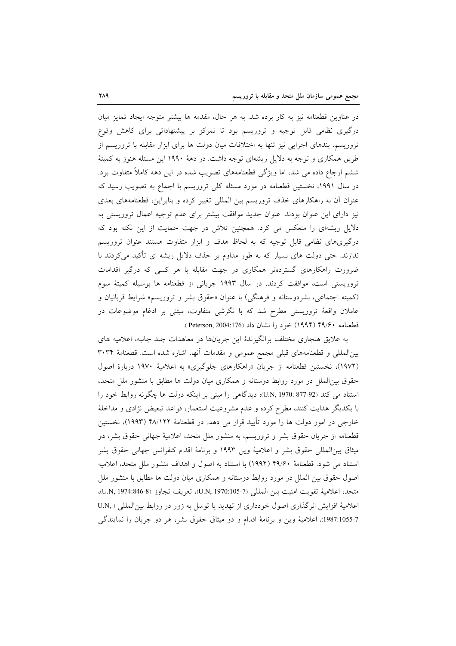در عناوین قطعنامه نیز به کار برده شد. به هر حال، مقدمه ها بیشتر متوجه ایجاد تمایز میان درگیری نظامی قابل توجیه و تروریسم بود تا تمرکز بر پیشنهاداتی برای کاهش وقوع تروریسم. بندهای اجرایی نیز تنها به اختلافات میان دولت ها برای ابزار مقابله با تروریسم از طریق همکاری و توجه به دلایل ریشهای توجه داشت. در دههٔ ۱۹۹۰ این مسئله هنوز به کمیتهٔ ششم ارجاع داده می شد، اما ویژگی قطعنامههای تصویب شده در این دهه کاملاً متفاوت بود. در سال ۱۹۹۱، نخستین قطعنامه در مورد مسئله کلی تروریسم با اجماع به تصویب رسید که عنوان أن به راهکارهای خذف تروریسم بین المللی تغییر کرده و بنابراین، قطعنامههای بعدی نیز دارای این عنوان بودند. عنوان جدید موافقت بیشتر برای عدم توجیه اعمال تروریستی به دلایل ریشهای را منعکس می کرد. همچنین تلاش در جهت حمایت از این نکته بود که درگیریهای نظامی قابل توجیه که به لحاظ هدف و ابزار متفاوت هستند عنوان تروریسم ندارند. حتی دولت های بسیار که به طور مداوم بر حذف دلایل ریشه ای تأکید میکردند با ضرورت راهکارهای گستردهتر همکاری در جهت مقابله با هر کسی که درگیر اقدامات تروریستی است، موافقت کردند. در سال ۱۹۹۳ جریانی از قطعنامه ها بوسیله کمیتهٔ سوم (كميته اجتماعي، بشردوستانه و فرهنگي) با عنوان «حقوق بشر و تروريسم» شرايط قربانيان و عاملان واقعهٔ تروریستی مطرح شد که با نگرشی متفاوت، مبتنی بر ادغام موضوعات در قطعنامه ۴۹/۶۰ (۱۹۹۴) خود را نشان داد (176:Peterson, 2004).

به علایق هنجاری مختلف برانگیزندهٔ این جریانها در معاهدات چند جانبه، اعلامیه های بینالمللی و قطعنامههای قبلی مجمع عمومی و مقدمات آنها، اشاره شده است. قطعنامهٔ ۳۰۳۴ (١٩٧٢)، نخستین قطعنامه از جریان «راهکارهای جلوگیری» به اعلامیهٔ ١٩٧٠ دربارهٔ اصول حقوق بین|لملل در مورد روابط دوستانه و همکاری میان دولت ها مطابق با منشور ملل متحد، استناد می کند (877-970 U.N, 1970: 477-92)؛ دیدگاهی را مبنی بر اینکه دولت ها چگونه روابط خود را با یکدیگر هدایت کنند، مطرح کرده و عدم مشروعیت استعمار، قواعد تبعیض نژادی و مداخلهٔ خارجی در امور دولت ها را مورد تأیید قرار می دهد. در قطعنامهٔ ۴۸/۱۲۲ (۱۹۹۳)، نخستین قطعنامه از جریان حقوق بشر و تروریسم، به منشور ملل متحد، اعلامیهٔ جهانی حقوق بشر، دو ميثاق بين|لمللي حقوق بشر و اعلاميهٔ وين ١٩٩٣ و برنامهٔ اقدام كنفرانس جهاني حقوق بشر استناد می شود. قطعنامهٔ ۴۹/۶۰ (۱۹۹۴) با استناد به اصول و اهداف منشور ملل متحد، اعلامیه اصول حقوق بین الملل در مورد روابط دوستانه و همکاری میان دولت ها مطابق با منشور ملل متحد، اعلامية تقويت امنيت بين المللي (U.N, 1970:105-7)، تعريف تجاوز (U.N, 1974:846-8)، اعلاميهٔ افزايش اثرگذاري اصول خودداري از تهديد يا توسل به زور در روابط بين المللي ( ,U.N 1987:1055-7)، اعلامية وين وبرنامة اقدام و دو ميثاق حقوق بشر، هر دو جريان را نمايندگي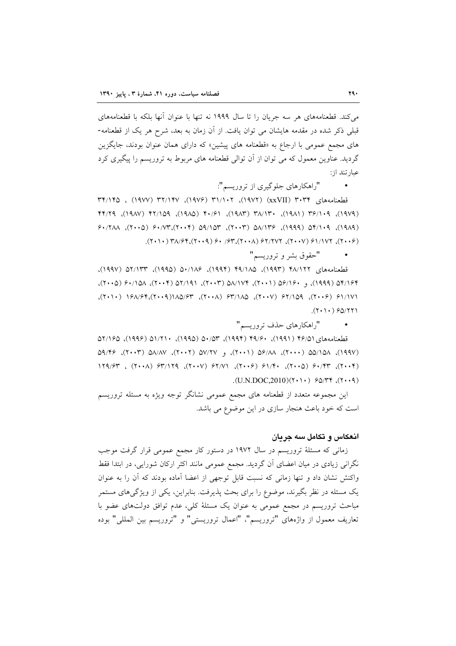می کند. قطعنامههای هر سه جریان را تا سال ۱۹۹۹ نه تنها با عنوان آنها بلکه با قطعنامههای قبلی ذکر شده در مقدمه هایشان می توان یافت. از آن زمان به بعد، شرح هر یک از قطعنامه-های مجمع عمومی با ارجاع به «قطعنامه های پیشین» که دارای همان عنوان بودند، جایگزین گردید. عناوین معمول که می توان از آن توالی قطعنامه های مربوط به تروریسم را پیگیری کرد عبار تند از:

"راهكارهاي جلوگيري از تروريسم":

قطعنامههای ۳۰۳۴ (xxVII) ۳۰۳۳ (xxVII)، ۳۴/۱۴۵، ۱۹۷۷)، ۳۲/۱۴۷ (۱۹۷۷) ، ۳۴/۱۴۵ (١٩٧٩), ١٩/٢٩ (١٩٨١), ٣١/٨٣ (١٩٨٣), ١٩/٠٢ (١٩٨٥), ١٢/٢٩ (١٩٨٧), ٢٢/٢٩  $9.774\lambda$ ,  $9.1190$   $(9.110)$ ,  $9.1100$   $(7.11)$ ,  $7.110$   $(9.110)$ ,  $(9.110)$  $(7+1)$ ,  $Y\Lambda/\mathfrak{F}((7+1)$ ,  $\mathfrak{F}((7+1)$ ,  $\mathfrak{F}((7+1)$ ,  $\mathfrak{F}((7+1)$ ,  $\mathfrak{F}((7+1)$ ,  $\mathfrak{F}((7+1)$ ,  $\mathfrak{F}((7+1)$ ,  $\mathfrak{F}((7+1)$ ,  $\mathfrak{F}((7+1)$ ,  $\mathfrak{F}((7+1)$ ,  $\mathfrak{F}((7+1)$ ,  $\mathfrak{F}((7+1)$ ,  $\mathfrak{F}((7+1)$ ,

"حقوق بشر و تروريسم"

قطعنامههای ۲۸/۱۲۲ (۱۹۹۳)، ۱۸۵/۴۹ (۱۹۹۴)، ۱۸۶/۰۵ (۱۹۹۵)، ۵۲/۱۳۳ (۱۹۹۷)، ١٩/٣٥ (١٩٩٩)، و ١٩/٢٠٥ (٢٠٠١)، ١٧٢/٨٥ (٢٠٠٣)، ٦/١١٦٥ (٢٠٠٢)، ١٥٨/٠٤ (٢٠٠٥)، ١٧١/١٤ (٢٠٠٢)، ١٤٨/٢٩ (٢٠٠٧)، ١٨٥/٣٥ (٢٠٠٨)، ٣٢/١٨٥/٢٣ (٢٠١٠)، ١٤٨/١٩٢ (٢٠١٠)،  $(7.1)$   $90/771$ 

> "راهكارهاي حذف تروريسم"  $\blacksquare$  .

قطعنامههای ۶۶/۱۶۱ (۱۹۹۱)، ۴۹/۶۰ (۱۹۹۴)، ۵۰/۵۳ (۱۹۹۵)، ۱/۲۱۰ (۱۹۹۶)، ۲/۱۶۵  $(1441)$ ,  $\triangle 01/\triangle 0$  ( $...$ ),  $\triangle 01/\triangle 0$  ( $...$ ),  $\triangle 01/\triangle 0$  ( $...$ ),  $\triangle 01/\triangle 0$  ( $...$ ),  $\triangle 01/\triangle 0$  $119/57$ ,  $(7...4)$   $97/179$ ,  $(7...7)$   $97/17$ ,  $(7...9)$   $91/5$ ,  $(7...0)$   $91/57$ ,  $(7...7)$  $(U.N.DOC,2010)(Y\cdot\cdot\cdot)$   $90/YY$ ,  $(Y\cdot\cdot\cdot)$ 

این مجموعه متعدد از قطعنامه های مجمع عمومی نشانگر توجه ویژه به مسئله تروریسم است که خود باعث هنجار سازی در این موضوع می باشد.

### ا**نع**کاس و تکامل سه جریان

زمانی که مسئلهٔ تروریسم در سال ۱۹۷۲ در دستور کار مجمع عمومی قرار گرفت موجب نگرانی زیادی در میان اعضای آن گردید. مجمع عمومی مانند اکثر ارکان شورایی، در ابتدا فقط واكنش نشان داد و تنها زمانى كه نسبت قابل توجهى از اعضا آماده بودند كه آن را به عنوان یک مسئله در نظر بگیرند، موضوع را برای بحث پذیرفت. بنابراین، یکی از ویژگی های مستمر مباحث تروریسم در مجمع عمومی به عنوان یک مسئلهٔ کلی، عدم توافق دولتهای عضو با تعاريف معمول از واژههاي "تروريسم"، "اعمال تروريستي" و "تروريسم بين المللي" بوده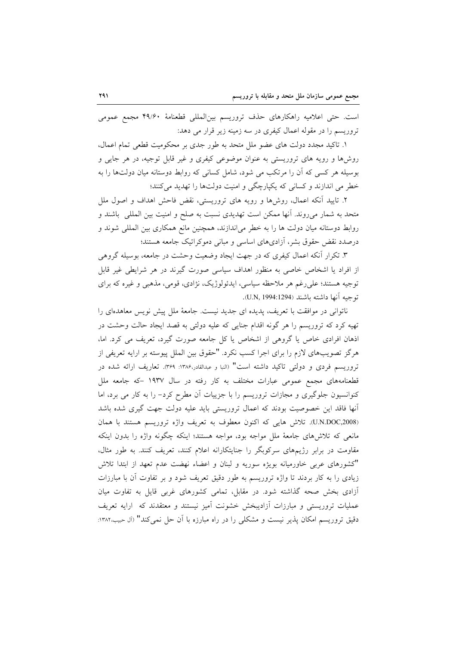است. حتى اعلاميه راهكارهاى حذف تروريسم بينالمللي قطعنامهٔ ۴۹/۶۰ مجمع عمومى تروریسم را در مقوله اعمال کیفری در سه زمینه زیر قرار می دهد:

١. تاكيد مجدد دولت هاى عضو ملل متحد به طور جدى بر محكوميت قطعى تمام اعمال، روشها و رویه های تروریستی به عنوان موضوعی کیفری و غیر قابل توجیه، در هر جایی و بوسیله هر کسی که آن را مرتکب می شود، شامل کسانی که روابط دوستانه میان دولتها را به خطر می اندازند و کسانی که یکپارچگی و امنیت دولتها را تهدید میکنند؛

۲. تایید آنکه اعمال، روشها و رویه های تروریستی، نقض فاحش اهداف و اصول ملل متحد به شمار میروند. آنها ممکن است تهدیدی نسبت به صلح و امنیت بین الملل<sub>ی</sub> باشند و روابط دوستانه میان دولت ها را به خطر میاندازند، همچنین مانع همکاری بین المللی شوند و درصدد نقض حقوق بشر، آزادیهای اساسی و مبانی دموکراتیک جامعه هستند؛

۳. تکرار آنکه اعمال کیفری که در جهت ایجاد وضعیت وحشت در جامعه، بوسیله گروهی از افراد یا اشخاص خاصی به منظور اهداف سیاسی صورت گیرند در هر شرایطی غیر قابل توجیه هستند؛ علی رغم هر ملاحظه سیاسی، ایدئولوژیک، نژادی، قومی، مذهبی و غیره که برای توجيه آنها داشته باشند (U.N, 1994:1294).

ناتوانی در موافقت با تعریف، پدیده ای جدید نیست. جامعهٔ ملل پیش نویس معاهدهای را تهیه کرد که تروریسم را هر گونه اقدام جنایی که علیه دولتی به قصد ایجاد حالت وحشت در اذهان افرادی خاص یا گروهی از اشخاص یا کل جامعه صورت گیرد، تعریف می کرد. اما، هرگز تصویبهای لازم را برای اجرا کسب نکرد. "حقوق بین الملل پیوسته بر ارایه تعریفی از تروریسم فردی و دولتی تاکید داشته است" (النبا و عبدالقادر،۱۳۸۶: ۳۶۹). تعاریف ارائه شده در قطعنامههای مجمع عمومی عبارات مختلف به کار رفته در سال ۱۹۳۷ –که جامعه ملل کنوانسیون جلوگیری و مجازات تروریسم را با جزییات آن مطرح کرد- را به کار می برد، اما آنها فاقد این خصوصیت بودند که اعمال تروریستی باید علیه دولت جهت گیری شده باشد (U.N.DOC,2008). تلاش هايي كه اكنون معطوف به تعريف واژه تروريسم هستند با همان مانعی که تلاش های جامعهٔ ملل مواجه بود، مواجه هستند؛ اینکه چگونه واژه را بدون اینکه مقاومت در برابر رژیمهای سرکوبگر را جنایتکارانه اعلام کنند، تعریف کنند. به طور مثال، "كشورهاى عربى خاورميانه بويژه سوريه و لبنان و اعضاء نهضت عدم تعهد از ابتدا تلاش زیادی را به کار بردند تا واژه تروریسم به طور دقیق تعریف شود و بر تفاوت آن با مبارزات أزادی بخش صحه گذاشته شود. در مقابل، تمامی کشورهای غربی قایل به تفاوت میان عملیات تروریستی و مبارزات آزادیبخش خشونت آمیز نیستند و معتقدند که ارایه تعریف دقیق تروریسم امکان پذیر نیست و مشکلی را در راه مبارزه با آن حل نمی کند" (آل حبیب،۱۳۸۲: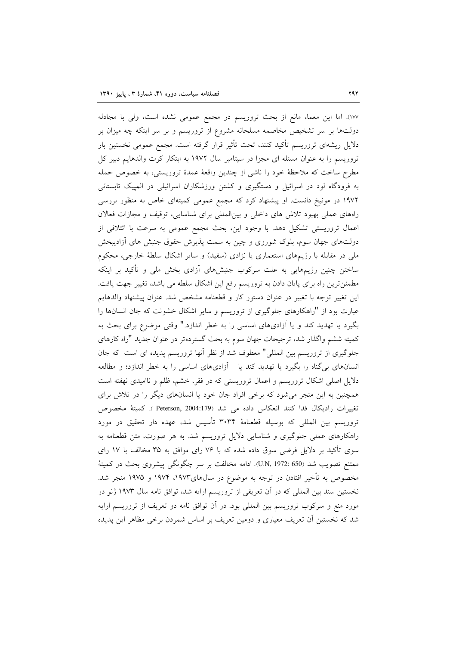١٧٧). اما اين معما، مانع از بحث تروريسم در مجمع عمومي نشده است، ولي با مجادله دولتها بر سر تشخیص مخاصمه مسلحانه مشروع از تروریسم و بر سر اینکه چه میزان بر دلایل ریشهای تروریسم تأکید کنند، تحت تأثیر قرار گرفته است. مجمع عمومی نخستین بار تروریسم را به عنوان مسئله ای مجزا در سپتامبر سال ۱۹۷۲ به ابتکار کرت والدهایم دبیر کل مطرح ساخت که ملاحظهٔ خود را ناشی از چندین واقعهٔ عمدهٔ تروریستی، به خصوص حمله به فرودگاه لود در اسرائیل و دستگیری و کشتن ورزشکاران اسرائیلی در المپیک تابستانی ۱۹۷۲ در مونیخ دانست. او پیشنهاد کرد که مجمع عمومی کمیتهای خاص به منظور بررسی راههای عملی بهبود تلاش های داخلی و بینالمللی برای شناسایی، توقیف و مجازات فعالان اعمال تروریستی تشکیل دهد. با وجود این، بحث مجمع عمومی به سرعت با ائتلافی از دولتهای جهان سوم، بلوک شوروی و چین به سمت پذیرش حقوق جنبش های آزادیبخش ملي در مقابله با رژيمهاي استعماري يا نژادي (سفيد) و ساير اشكال سلطهٔ خارجي، محكوم ساختن چنین رژیمهایی به علت سرکوب جنبشهای أزادی بخش ملی و تأکید بر اینکه مطمئنترین راه برای پایان دادن به تروریسم رفع این اشکال سلطه می باشد، تغییر جهت یافت. اين تغيير توجه با تغيير در عنوان دستور كار و قطعنامه مشخص شد. عنوان پيشنهاد والدهايم عبارت بود از "راهکارهای جلوگیری از تروریسم و سایر اشکال خشونت که جان انسانها را بگیرد یا تهدید کند و یا آزادیهای اساسی را به خطر اندازد." وقتی موضوع برای بحث به کمیته ششم واگذار شد، ترجیحات جهان سوم به بحث گستردهتر در عنوان جدید "راه کارهای جلوگیری از تروریسم بین المللی" معطوف شد از نظر أنها تروریسم پدیده ای است که جان انسانهای بی گناه را بگیرد یا تهدید کند یا آزادیهای اساسی را به خطر اندازد؛ و مطالعه دلایل اصلی اشکال تروریسم و اعمال تروریستی که در فقر، خشم، ظلم و ناامیدی نهفته است همچنین به این منجر میشود که برخی افراد جان خود یا انسانهای دیگر را در تلاش برای تغييرات راديكال فدا كنند انعكاس داده مي شد (Peterson, 2004:179 ). كميتهٔ مخصوص تروریسم بین المللی که بوسیله قطعنامهٔ ۳۰۳۴ تأسیس شد، عهده دار تحقیق در مورد راهکارهای عملی جلوگیری و شناسایی دلایل تروریسم شد. به هر صورت، متن قطعنامه به سوی تأکید بر دلایل فرضی سوق داده شده که با ۷۶ رای موافق به ۳۵ مخالف با ۱۷ رای ممتنع تصويب شد (50 :U.N, 1972). ادامه مخالفت بر سر چگونگی پیشروی بحث در کمیتهٔ مخصوص به تأخیر افتادن در توجه به موضوع در سالهای۱۹۷۳، ۱۹۷۴ و ۱۹۷۵ منجر شد. نخستین سند بین المللی که در آن تعریفی از تروریسم ارایه شد، توافق نامه سال ۱۹۷۳ ژنو در مورد منع و سرکوب تروریسم بین المللی بود. در آن توافق نامه دو تعریف از تروریسم ارایه شد که نخستین آن تعریف معیاری و دومین تعریف بر اساس شمردن برخی مظاهر این پدیده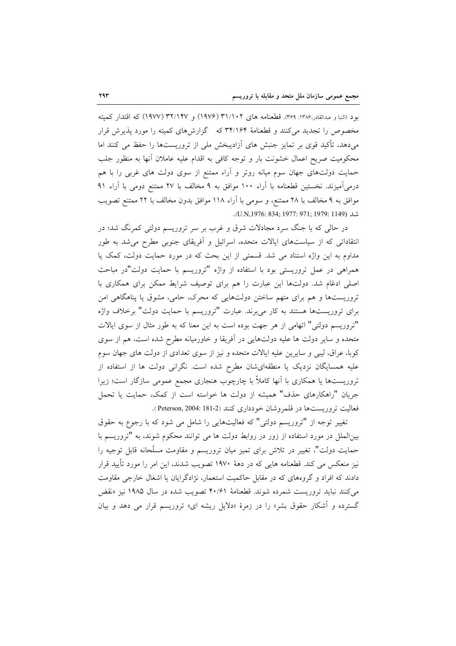بود (النبا و عبدالقادر،۱۳۸۶: ۳۶۹). قطعنامه های ۳۱/۱۰۲ (۱۹۷۶) و ۳۲/۱۴۷ (۱۹۷۷) که اقتدار کمیته مخصوص را تجدید می کنند و قطعنامهٔ ۳۴/۱۶۴ که گزارش های کمیته را مورد پذیرش قرار میدهد، تأکید قوی بر تمایز جنبش های اَزادیبخش ملی از تروریستها را حفظ می کنند اما محکومیت صریح اعمال خشونت بار و توجه کافی به اقدام علیه عاملان أنها به منظور جلب حمایت دولتهای جهان سوم میانه روتر و آراء ممتنع از سوی دولت های غربی را با هم درمیآمیزند. نخستین قطعنامه با آراء ۱۰۰ موافق به ۹ مخالف با ۲۷ ممتنع دومی با آراء ۹۱ موافق به ۹ مخالف با ۲۸ ممتنع، و سومی با آراء ۱۱۸ موافق بدون مخالف با ۲۲ ممتنع تصویب شد (U.N,1976: 834; 1977: 971; 1979: 1149).

در حالی که با جنگ سرد مجادلات شرق و غرب بر سر تروریسم دولتی کمرنگ شد؛ در انتقاداتی که از سیاستهای ایالات متحده، اسرائیل و اَفریقای جنوبی مطرح میشد به طور مداوم به این واژه استناد می شد. قسمتی از این بحث که در مورد حمایت دولت، کمک یا همراهی در عمل تروریستی بود با استفاده از واژه "تروریسم با حمایت دولت"در مباحث اصلی ادغام شد. دولتها این عبارت را هم برای توصیف شرایط ممکن برای همکاری با تروریستها و هم برای متهم ساختن دولتهایی که محرک، حامی، مشوق یا پناهگاهی امن برای تروریستها هستند به کار میبرند. عبارت "تروریسم با حمایت دولت" برخلاف واژه "تروریسم دولتی" اتهامی از هر جهت بوده است به این معنا که به طور مثال از سوی ایالات متحده و سایر دولت ها علیه دولتهایی در آفریقا و خاورمیانه مطرح شده است، هم از سوی کوبا، عراق، لیبی و سایرین علیه ایالات متحده و نیز از سوی تعدادی از دولت های جهان سوم علیه همسایگان نزدیک یا منطقهایشان مطرح شده است. نگرانی دولت ها از استفاده از تروریستها یا همکاری با آنها کاملاً با چارچوب هنجاری مجمع عمومی سازگار است؛ زیرا جريان "راهكارهاي حذف" هميشه از دولت ها خواسته است از كمك، حمايت يا تحمل فعاليت تروريستها در قلمروشان خودداري كنند (Peterson, 2004: 181-2).

تغییر توجه از "تروریسم دولتی" که فعالیتهایی را شامل می شود که با رجوع به حقوق بینالملل در مورد استفاده از زور در روابط دولت ها می توانند محکوم شوند، به "تروریسم با حمایت دولت"، تغییر در تلاش برای تمیز میان تروریسم و مقاومت مسلّحانه قابل توجیه را نیز منعکس می کند. قطعنامه هایی که در دههٔ ۱۹۷۰ تصویب شدند، این امر را مورد تأیید قرار دادند که افراد و گروههای که در مقابل حاکمیت استعمار، نژادگرایان یا اشغال خارجی مقاومت می کنند نباید تروریست شمرده شوند. قطعنامهٔ ۴۰/۶۱ تصویب شده در سال ۱۹۸۵ نیز «نقض گسترده و آشکار حقوق بشر» را در زمرهٔ «دلایل ریشه ای» تروریسم قرار می دهد و بیان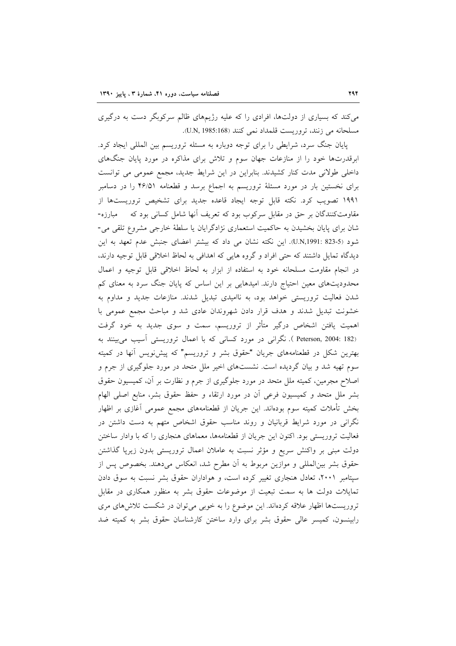می کند که بسیاری از دولتها، افرادی را که علیه رژیمهای ظالم سرکوبگر دست به درگیری مسلحانه مي زنند، تروريست قلمداد نمي كنند (U.N, 1985:168).

پایان جنگ سرد، شرایطی را برای توجه دوباره به مسئله تروریسم بین المللی ایجاد کرد. ابرقدرتها خود را از منازعات جهان سوم و تلاش برای مذاکره در مورد پایان جنگهای داخلی طولانی مدت کنار کشیدند. بنابراین در این شرایط جدید، مجمع عمومی می توانست برای نخستین بار در مورد مسئلهٔ تروریسم به اجماع برسد و قطعنامه ۴۶/۵۱ را در دسامبر ۱۹۹۱ تصویب کرد. نکته قابل توجه ایجاد قاعده جدید برای تشخیص تروریستها از مقاومتکنندگان بر حق در مقابل سرکوب بود که تعریف آنها شامل کسانی بود که مسلوره-شان برای پایان بخشیدن به حاکمیت استعماری نژادگرایان یا سلطهٔ خارجی مشروع تلقی می-شود (5-823 :U.N,1991). این نکته نشان می داد که بیشتر اعضای جنبش عدم تعهد به این دیدگاه تمایل داشتند که حتی افراد و گروه هایی که اهدافی به لحاظ اخلاقی قابل توجیه دارند، در انجام مقاومت مسلحانه خود به استفاده از ابزار به لحاظ اخلاقی قابل توجیه و اعمال محدودیتهای معین احتیاج دارند. امیدهایی بر این اساس که پایان جنگ سرد به معنای کم شدن فعالیت تروریستی خواهد بود، به ناامیدی تبدیل شدند. منازعات جدید و مداوم به خشونت تبدیل شدند و هدف قرار دادن شهروندان عادی شد و مباحث مجمع عمومی با اهمیت یافتن اشخاص درگیر متأثر از تروریسم، سمت و سوی جدید به خود گرفت (Peterson, 2004: 182 ). نگرانی در مورد کسانی که با اعمال تروریستی آسیب میبینند به بهترین شکل در قطعنامههای جریان "حقوق بشر و تروریسم" که پیش نویس آنها در کمیته سوم تهیه شد و بیان گردیده است. نشستهای اخیر ملل متحد در مورد جلوگیری از جرم و اصلاح مجرمین، کمیته ملل متحد در مورد جلوگیری از جرم و نظارت بر آن، کمیسیون حقوق بشر ملل متحد و كميسيون فرعى آن در مورد ارتقاء و حفظ حقوق بشر، منابع اصلى الهام بخش تأملات کمیته سوم بودهاند. این جریان از قطعنامههای مجمع عمومی آغازی بر اظهار نگرانی در مورد شرایط قربانیان و روند مناسب حقوق اشخاص متهم به دست داشتن در فعالیت تروریستی بود. اکنون این جریان از قطعنامهها، معماهای هنجاری را که با وادار ساختن دولت مبنی بر واکنش سریع و مؤثر نسبت به عاملان اعمال تروریستی بدون زیرپا گذاشتن حقوق بشر بین|لمللی و موازین مربوط به آن مطرح شد، انعکاس میدهند. بخصوص پس از سپتامبر ۲۰۰۱، تعادل هنجاری تغییر کرده است، و هواداران حقوق بشر نسبت به سوق دادن تمایلات دولت ها به سمت تبعیت از موضوعات حقوق بشر به منظور همکاری در مقابل تروریستها اظهار علاقه کردهاند. این موضوع را به خوبی می توان در شکست تلاش های مری رابینسون، کمیسر عالی حقوق بشر برای وارد ساختن کارشناسان حقوق بشر به کمیته ضد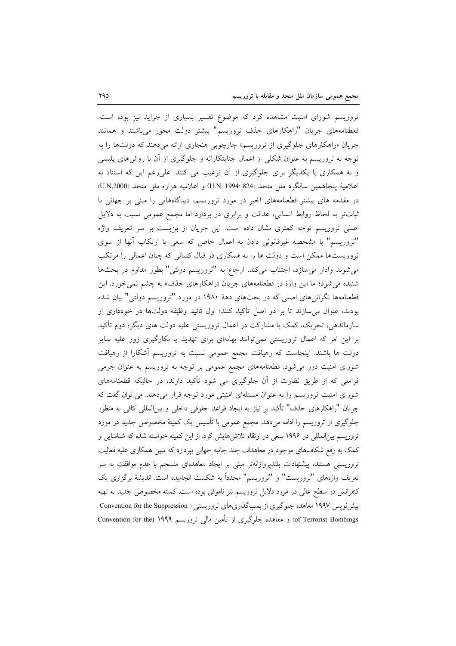تروریسم شورای امنیت مشاهده کرد که موضوع تفسیر بسیاری از جراید نیز بوده است. قعطنامههای جریان "راهکارهای حذف تروریسم" بیشتر دولت محور میباشند و همانند جریان «راهکارهای جلوگیری از تروریسم» چارچوبی هنجاری ارائه میدهند که دولتها را به توجه به تروریسم به عنوان شکلی از اعمال جنایتکارانه و جلوگیری از آن با روشهای پلیسی و به همکاری با یکدیگر برای جلوگیری از آن ترغیب می کنند. علی رغم این که استناد به اعلامية پنجاهمين سالگرد ملل متحد (824 :394 U.N, او اعلاميه هزاره ملل متحد (U.N,2000) در مقدمه های بیشتر قطعنامههای اخیر در مورد تروریسم، دیدگاههایی را مبنی بر جهانی با ثباتتر به لحاظ روابط انسانی، عدالت و برابری در بردارد اما مجمع عمومی نسبت به دلایل اصلی تروریسم توجه کمتری نشان داده است. این جریان از بنبست بر سر تعریف واژه "تروریسم" با مشخصه غیرقانونی دادن به اعمال خاص که سعی یا ارتکاب آنها از سوی تروریستها ممکن است و دولت ها را به همکاری در قبال کسانی که چنان اعمالی را مرتکب میشوند وادار میسازد، اجتناب میکند. ارجاع به "تروریسم دولتی" بطور مداوم در بحثها شنیده می شود؛ اما این واژهٔ در قطعنامههای جریان «راهکارهای حذف» به چشم نمی خورد. این قطعنامهها نگرانیهای اصلی که در بحثهای دههٔ ۱۹۸۰ در مورد "تروریسم دولتی" بیان شده بودند، عنوان میسازند تا بر دو اصل تأکید کنند؛ اول تائید وظیفه دولتها در خودداری از سازماندهی، تحریک، کمک یا مشارکت در اعمال تروریستی علیه دولت های دیگر؛ دوم تأکید بر این امر که اعمال تروریستی نمیتوانند بهانهای برای تهدید یا بکارگیری زور علیه سایر دولت ها باشند. اینجاست که رهیافت مجمع عمومی نسبت به تروریسم آشکارا از رهیافت شورای امنیت دور میشود. قطعنامههای مجمع عمومی بر توجه به تروریسم به عنوان جرمی فراملی که از طریق نظارت از آن جلوگیری می شود تأکید دارند، در حالیکه قطعنامههای شورای امنیت تروریسم را به عنوان مسئلهای امنیتی مورد توجه قرار میدهند. می توان گفت که جريان "راهكارهاي حذف" تأكيد بر نياز به ايجاد قواعد حقوقي داخلي و بين|لمللي كافي به منظور جلوگیری از تروریسم را ادامه میدهد. مجمع عمومی با تأسیس یک کمیتهٔ مخصوص جدید در مورد تروریسم بینالمللی در ۱۹۹۶ سعی در ارتقاء تلاش۱هایش کرد. از این کمیته خواسته شده که شناسایی و کمک به رفع شکافهای موجود در معاهدات چند جانبه جهانی بیردازد که مبین همکاری علیه فعالیت تروریستی هستند، پیشنهادات بلندپروازانهتر مبنی بر ایجاد معاهدمای منسجم با عدم موافقت به سر تعريف واژەهاي "تروريست" و "تروريسم" مجدداً به شكست انجاميده است. انديشهٔ برگزاري يک کنفرانس در سطح عالی در مورد دلایل تروریسم نیز ناموفق بوده است. کمیته مخصوص جدید به تهیه ییش نویس ۱۹۹۷ معاهده جلوگیری از بمبگذاریهای تروریستی ( Convention for the Suppression of Terrorist Bombings) و معاهده جلوگیری از تأمین مالی تروریسم ۱۹۹۹ (Convention for the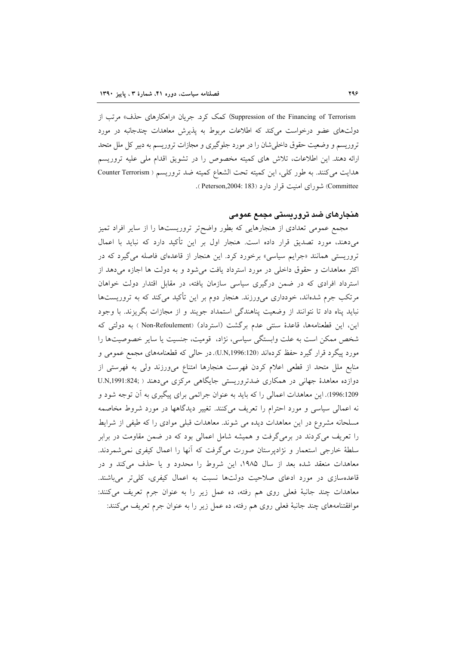Suppression of the Financing of Terrorism) کمک کرد. جریان «راهکارهای حذف» مرتب از دولتهای عضو درخواست میکند که اطلاعات مربوط به پذیرش معاهدات چندجانبه در مورد تروریسم و وضعیت حقوق داخلی شان را در مورد جلوگیری و مجازات تروریسم به دبیر کل ملل متحد ارائه دهند. این اطلاعات، تلاش های کمیته مخصوص را در تشویق اقدام ملی علیه تروریسم هدايت مي كنند. به طور كلي، اين كميته تحت الشعاع كميته ضد تروريسم ( Counter Terrorism Committee) شورای امنیت قرار دارد (Peterson,2004: 183).

# هنجارهای ضد تروریستی مجمع عمومی

مجمع عمومی تعدادی از هنجارهایی که بطور واضح تر تروریستها را از سایر افراد تمیز می دهند، مورد تصدیق قرار داده است. هنجار اول بر این تأکید دارد که نباید با اعمال تروریستی همانند «جرایم سیاسی» برخورد کرد. این هنجار از قاعدهای فاصله می گیرد که در اکثر معاهدات و حقوق داخلی در مورد استرداد یافت میشود و به دولت ها اجازه میدهد از استرداد افرادی که در ضمن درگیری سیاسی سازمان یافته، در مقابل اقتدار دولت خواهان مرتکب جرم شدهاند، خودداری میورزند. هنجار دوم بر این تأکید میکند که به تروریستها نباید پناه داد تا نتوانند از وضعیت پناهندگی استمداد جویند و از مجازات بگریزند. با وجود این، این قطعنامهها، قاعدهٔ سنتی عدم برگشت (استرداد) (Non-Refoulement ) به دولتی که شخص ممکن است به علت وابستگی سیاسی، نژاد، قومیت، جنسیت یا سایر خصوصیتها را مورد پیگرد قرار گیرد حفظ کردهاند (U.N,1996:120). در حالی که قطعنامههای مجمع عمومی و منابع ملل متحد از قطعی اعلام کردن فهرست هنجارها امتناع می ورزند ولی به فهرستی از دوازده معاهدهٔ جهانی در همکاری ضدتروریستی جایگاهی مرکزی می دهند ( ;U.N,1991:824 1996:1209). این معاهدات اعمالی را که باید به عنوان جرائمی برای پیگیری به آن توجه شود و نه اعمالی سیاسی و مورد احترام را تعریف میکنند. تغییر دیدگاهها در مورد شروط مخاصمه مسلحانه مشروع در این معاهدات دیده می شوند. معاهدات قبلی موادی را که طیفی از شرایط را تعریف میکردند در برمی گرفت و همیشه شامل اعمالی بود که در ضمن مقاومت در برابر سلطهٔ خارجی استعمار و نژادپرستان صورت میگرفت که آنها را اعمال کیفری نمیشمردند. معاهدات منعقد شده بعد از سال ۱۹۸۵، این شروط را محدود و یا حذف میکند و در قاعدهسازی در مورد ادعای صلاحیت دولتها نسبت به اعمال کیفری، کلیتر میباشند. معاهدات چند جانبهٔ فعلی روی هم رفته، ده عمل زیر را به عنوان جرم تعریف میکنند: موافقتنامههای چند جانبهٔ فعلی روی هم رفته، ده عمل زیر را به عنوان جرم تعریف میکنند: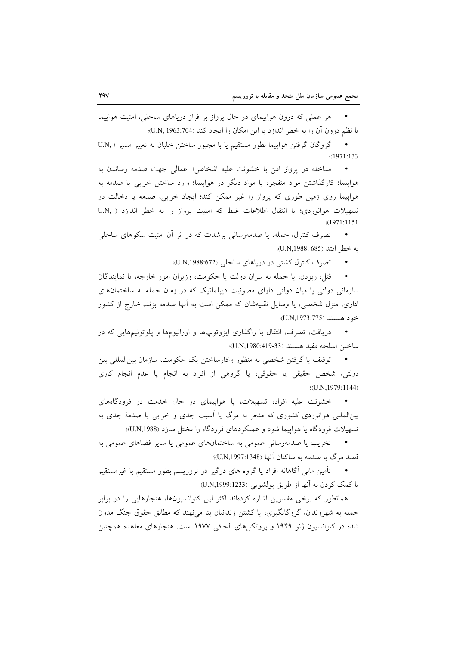هر عملی که درون هواپیمای در حال پرواز بر فراز دریاهای ساحلی، امنیت هواپیما يا نظم درون أن را به خطر اندازد يا اين امكان را ايجاد كند (U.N, 1963:704)؛

گروگان گرفتن هواپیما بطور مستقیم یا با مجبور ساختن خلبان به تغییر مسیر ( .U.N  $\sim$  $(1971:133)$ 

مداخله در يرواز امن با خشونت عليه اشخاص؛ اعمالي جهت صدمه رساندن به هواپیما؛ کارگذاشتن مواد منفجره یا مواد دیگر در هواپیما؛ وارد ساختن خرابی یا صدمه به هواپیما روی زمین طوری که پرواز را غیر ممکن کند؛ ایجاد خرابی، صدمه یا دخالت در تسهیلات هوانوردی؛ یا انتقال اطلاعات غلط که امنیت پرواز را به خطر اندازد ( .U.N :(1971:1151

تصرف کنترل، حمله، یا صدمهرسانی پرشدت که در اثر آن امنیت سکوهای ساحلی به خطر افتد (U.N,1988: 685)؛

تصرف کنترل کشتی در دریاهای ساحلی (U.N,1988:672)؛

قتل، ربودن، یا حمله به سران دولت یا حکومت، وزیران امور خارجه، یا نمایندگان سازمانی دولتی یا میان دولتی دارای مصونیت دیپلماتیک که در زمان حمله به ساختمانهای اداری، منزل شخصی، یا وسایل نقلیهشان که ممکن است به آنها صدمه بزند، خارج از کشور خود هستند (U.N,1973:775)؛

دریافت، تصرف، انتقال یا واگذاری ایزوتوپها و اورانیومها و پلوتونیمهایی که در ساختن اسلحه مفيد هستند (U.N,1980:419-33)؛

توقيف يا گرفتن شخصي به منظور وادارساختن يک حکومت، سازمان بين|لمللي بين دولتي، شخص حقيقي يا حقوقي، يا گروهي از افراد به انجام يا عدم انجام كاري  $(U.N, 1979: 1144)$ 

خشونت علیه افراد، تسهیلات، یا هواپیمای در حال خدمت در فرودگاههای بین(لمللی هوانوردی کشوری که منجر به مرگ یا آسیب جدی و خرابی یا صدمهٔ جدی به تسهیلات فرودگاه یا هواپیما شود و عملکردهای فرودگاه را مختل سازد (U.N,1988)؛

تخریب یا صدمهرسانی عمومی به ساختمانهای عمومی یا سایر فضاهای عمومی به قصد مرگ يا صدمه به ساكنان آنها (U.N,1997:1348)؛

تأمین مالی آگاهانه افراد یا گروه های درگیر در تروریسم بطور مستقیم یا غیرمستقیم يا كمك كردن به آنها از طريق پولشويي (U.N,1999:1233).

همانطور که برخی مفسرین اشاره کردهاند اکثر این کنوانسیونها، هنجارهایی را در برابر حمله به شهروندان، گروگانگیری، یا کشتن زندانیان بنا می،نهند که مطابق حقوق جنگ مدون شده در کنوانسیون ژنو ۱۹۴۹ و پروتکلهای الحاقی ۱۹۷۷ است. هنجارهای معاهده همچنین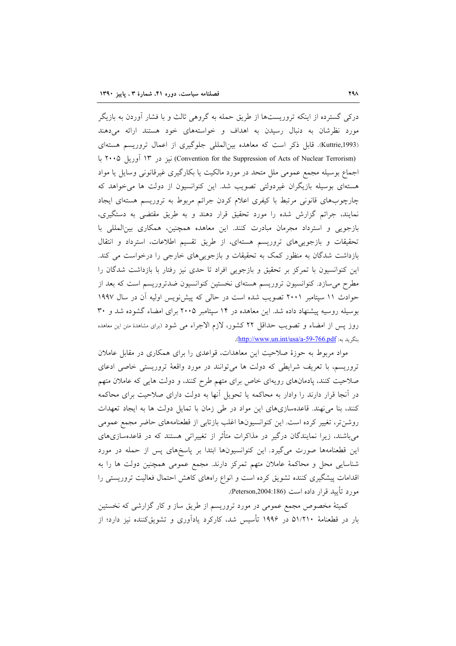درکی گسترده از اینکه تروریستها از طریق حمله به گروهی ثالث و با فشار آوردن به بازیگر مورد نظرشان به دنبال رسیدن به اهداف و خواستههای خود هستند ارائه می دهند (Kuttrie,1993). قابل ذکر است که معاهده بین المللی جلوگیری از اعمال تروریسم هستهای (Convention for the Suppression of Acts of Nuclear Terrorism) نیز در ۱۳ آوریل ۲۰۰۵ با اجماع بوسیله مجمع عمومی ملل متحد در مورد مالکیت یا بکارگیری غیرقانونی وسایل یا مواد هستهای بوسیله بازیگران غیردولتی تصویب شد. این کنوانسیون از دولت ها میخواهد که چارچوبهای قانونی مرتبط با کیفری اعلام کردن جرائم مربوط به تروریسم هستهای ایجاد نمایند، جرائم گزارش شده را مورد تحقیق قرار دهند و به طریق مقتضی به دستگیری، بازجویی و استرداد مجرمان مبادرت کنند. این معاهده همچنین، همکاری بین المللی با تحقیقات و بازجوییهای تروریسم هستهای، از طریق تقسیم اطلاعات، استرداد و انتقال بازداشت شدگان به منظور کمک به تحقیقات و بازجویی های خارجی را درخواست می کند. این کنوانسیون با تمرکز بر تحقیق و بازجویی افراد تا حدی نیز رفتار با بازداشت شدگان را مطرح می سازد. کنوانسیون تروریسم هستهای نخستین کنوانسیون ضدتروریسم است که بعد از حوادث ١١ سپتامبر ٢٠٠١ تصويب شده است در حالي كه پيش نويس اوليه آن در سال ١٩٩٧ بوسیله روسیه پیشنهاد داده شد. این معاهده در ۱۴ سپتامبر ۲۰۰۵ برای امضاء گشوده شد و ۳۰ روز پس از امضاء و تصویب حداقل ٢٢ كشور، لازم الاجراء مى شود (براى مشاهدهٔ متن این معاهده بنگريد به: http://www.un.int/usa/a-59-766.pdf.

مواد مربوط به حوزهٔ صلاحیت این معاهدات، قواعدی را برای همکاری در مقابل عاملان تروریسم، با تعریف شرایطی که دولت ها می توانند در مورد واقعهٔ تروریستی خاصی ادعای صلاحیت کنند، پادمانهای رویهای خاص برای متهم طرح کنند، و دولت هایی که عاملان متهم در آنجا قرار دارند را وادار به محاکمه یا تحویل آنها به دولت دارای صلاحیت برای محاکمه کنند، بنا می نهند. قاعدهسازیهای این مواد در طی زمان با تمایل دولت ها به ایجاد تعهدات روشن تر، تغییر کرده است. این کنوانسیونها اغلب بازتابی از قطعنامههای حاضر مجمع عمومی میباشند، زیرا نمایندگان درگیر در مذاکرات متأثر از تغییراتی هستند که در قاعدهسازیهای این قطعنامهها صورت میگیرد. این کنوانسیونها ابتدا بر پاسخهای پس از حمله در مورد شناسایی محل و محاکمهٔ عاملان متهم تمرکز دارند. مجمع عمومی همچنین دولت ها را به اقدامات پیشگیری کننده تشویق کرده است و انواع راههای کاهش احتمال فعالیت تروریستی را مورد تأييد قرار داده است (Peterson,2004:186).

کمیتهٔ مخصوص مجمع عمومی در مورد تروریسم از طریق ساز و کار گزارشی که نخستین بار در قطعنامهٔ ۵۱/۲۱۰ در ۱۹۹۶ تأسیس شد، کارکرد یادآوری و تشویقکننده نیز دارد؛ از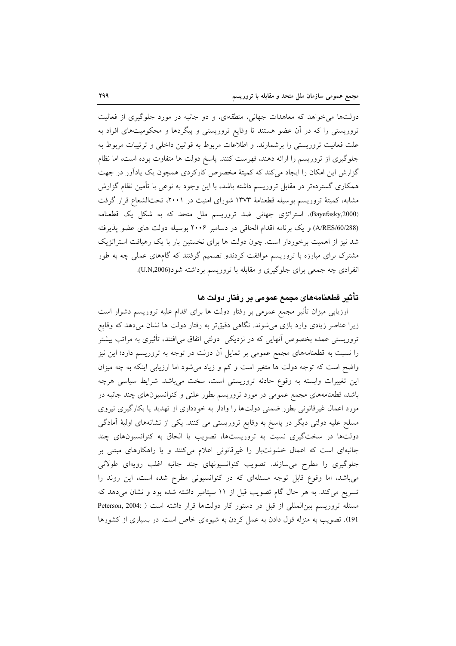دولتها می خواهد که معاهدات جهانی، منطقهای، و دو جانبه در مورد جلوگیری از فعالیت تروریستی را که در آن عضو هستند تا وقایع تروریستی و پیگردها و محکومیتهای افراد به علت فعالیت تروریستی را برشمارند، و اطلاعات مربوط به قوانین داخلی و ترتیبات مربوط به جلوگیری از تروریسم را ارائه دهند، فهرست کنند. پاسخ دولت ها متفاوت بوده است، اما نظام گزارش این امکان را ایجاد می کند که کمیتهٔ مخصوص کارکردی همچون یک یادآور در جهت همکاری گستردهتر در مقابل تروریسم داشته باشد، با این وجود به نوعی با تأمین نظام گزارش مشابه، کمیتهٔ تروریسم بوسیله قطعنامهٔ ۱۳۷۳ شورای امنیت در ۲۰۰۱، تحتالشعاع قرار گرفت (Bayefasky,2000). استراتژی جهانی ضد تروریسم ملل متحد که به شکل یک قطعنامه (A/RES/60/288) و یک برنامه اقدام الحاقی در دسامبر ۲۰۰۶ بوسیله دولت های عضو پذیرفته شد نیز از اهمیت برخوردار است. چون دولت ها برای نخستین بار با یک رهیافت استراتژیک مشترک برای مبارزه با تروریسم موافقت کردندو تصمیم گرفتند که گامهای عملی چه به طور انفرادی چه جمعی برای جلوگیری و مقابله با تروریسم برداشته شود(U.N,2006).

## تأثير قطعنامههاي مجمع عمومي بر رفتار دولت ها

ارزیابی میزان تأثیر مجمع عمومی بر رفتار دولت ها برای اقدام علیه تروریسم دشوار است زیرا عناصر زیادی وارد بازی می شوند. نگاهی دقیقتر به رفتار دولت ها نشان میدهد که وقایع تروریستی عمده بخصوص آنهایی که در نزدیکی ً دولتی اتفاق میافتند، تأثیری به مراتب بیشتر را نسبت به قطعنامههای مجمع عمومی بر تمایل آن دولت در توجه به تروریسم دارد؛ این نیز واضح است که توجه دولت ها متغیر است و کم و زیاد می شود اما ارزیابی اینکه به چه میزان این تغییرات وابسته به وقوع حادثه تروریستی است، سخت میباشد. شرایط سیاسی هرچه باشد، قطعنامههای مجمع عمومی در مورد تروریسم بطور علنی و کنوانسیونهای چند جانبه در مورد اعمال غیرقانونی بطور ضمنی دولتها را وادار به خودداری از تهدید یا بکارگیری نیروی مسلح علیه دولتی دیگر در پاسخ به وقایع تروریستی می کنند. یکی از نشانههای اولیهٔ آمادگی دولتها در سختگیری نسبت به تروریستها، تصویب یا الحاق به کنوانسیونهای چند جانبهای است که اعمال خشونتبار را غیرقانونی اعلام میکنند و یا راهکارهای مبتنی بر جلوگیری را مطرح میسازند. تصویب کنوانسیونهای چند جانبه اغلب رویهای طولانی میباشد، اما وقوع قابل توجه مسئلهای که در کنوانسیونی مطرح شده است، این روند را تسریع میکند. به هر حال گام تصویب قبل از ۱۱ سپتامبر داشته شده بود و نشان میدهد که مسئله تروریسم بینالمللی از قبل در دستور کار دولتها قرار داشته است ( :Peterson, 2004 191). تصویب به منزله قول دادن به عمل کردن به شیوهای خاص است. در بسیاری از کشورها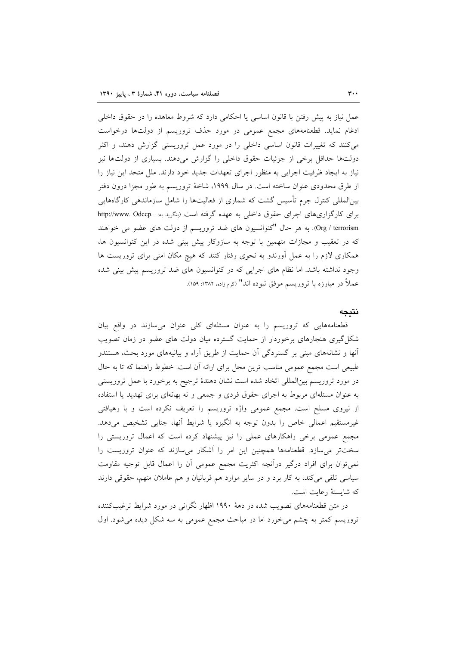عمل نیاز به پیش رفتن با قانون اساسی یا احکامی دارد که شروط معاهده را در حقوق داخلی ادغام نماید. قطعنامههای مجمع عمومی در مورد حذف تروریسم از دولتها درخواست میکنند که تغییرات قانون اساسی داخلی را در مورد عمل تروریستی گزارش دهند، و اکثر دولتها حداقل برخی از جزئیات حقوق داخلی را گزارش میدهند. بسیاری از دولتها نیز نیاز به ایجاد ظرفیت اجرایی به منظور اجرای تعهدات جدید خود دارند. ملل متحد این نیاز را از طرق محدودی عنوان ساخته است. در سال ۱۹۹۹، شاخهٔ تروریسم به طور مجزا درون دفتر بین|لمللی کنترل جرم تأسیس گشت که شماری از فعالیتها را شامل سازماندهی کارگاههایی برای کارگزاری های اجرای حقوق داخلی به عهده گرفته است (بنگرید به: .http://www. Odccp Org / terrorism). به هر حال "كنوانسيون هاى ضد تروريسم از دولت هاى عضو مى خواهند که در تعقیب و مجازات متهمین با توجه به سازوکار پیش بینی شده در این کنوانسیون ها، همکاری لازم را به عمل آورندو به نحوی رفتار کنند که هیچ مکان امنی برای تروریست ها وجود نداشته باشد. اما نظام های اجرایی که در کنوانسیون های ضد تروریسم پیش بینی شده عملاً در مبارزه با تروریسم موفق نبوده اند" (کرم زاده، ۱۳۸۲: ۱۵۹).

### نتبجه

قطعنامههایی که تروریسم را به عنوان مسئلهای کلی عنوان میسازند در واقع بیان شکل گیری هنجارهای برخوردار از حمایت گسترده میان دولت های عضو در زمان تصویب آنها و نشانههای مبنی بر گستردگی آن حمایت از طریق آراء و بیانیههای مورد بحث، هستندو طبیعی است مجمع عمومی مناسب ترین محل برای ارائه آن است. خطوط راهنما که تا به حال در مورد تروریسم بینالمللی اتخاد شده است نشان دهندهٔ ترجیح به برخورد با عمل تروریستی به عنوان مسئلهای مربوط به اجرای حقوق فردی و جمعی و نه بهانهای برای تهدید یا استفاده از نیروی مسلح است. مجمع عمومی واژه تروریسم را تعریف نکرده است و با رهیافتی غیرمستقیم اعمالی خاص را بدون توجه به انگیزه یا شرایط أنها، جنایی تشخیص میدهد. مجمع عمومی برخی راهکارهای عملی را نیز پیشنهاد کرده است که اعمال تروریستی را سختتر می سازد. قطعنامهها همچنین این امر را آشکار می سازند که عنوان تروریست را نمی توان برای افراد درگیر درآنچه اکثریت مجمع عمومی أن را اعمال قابل توجیه مقاومت سیاسی تلقی میکند، به کار برد و در سایر موارد هم قربانیان و هم عاملان متهم، حقوقی دارند كه شايستهٔ رعايت است.

در متن قطعنامههای تصویب شده در دههٔ ۱۹۹۰ اظهار نگرانی در مورد شرایط ترغیبکننده تروریسم کمتر به چشم می خورد اما در مباحث مجمع عمومی به سه شکل دیده می شود. اول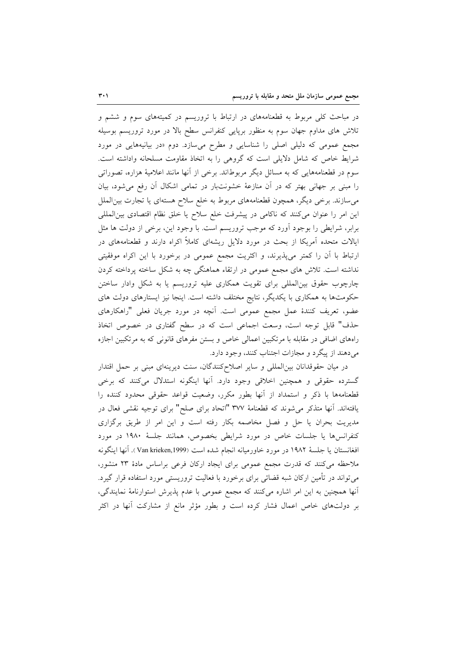در مباحث کلّی مربوط به قطعنامههای در ارتباط با تروریسم در کمیتههای سوم و ششم و تلاش های مداوم جهان سوم به منظور برپایی کنفرانس سطح بالا در مورد تروریسم بوسیله مجمع عمومی که دلیلی اصلی را شناسایی و مطرح می سازد. دوم «در بیانیههایی در مورد شرایط خاص که شامل دلایلی است که گروهی را به اتخاذ مقاومت مسلحانه واداشته است. سوم در قطعنامههایی که به مسائل دیگر مربوطاند. برخی از آنها مانند اعلامیهٔ هزاره، تصوراتی را مبنی بر جهانی بهتر که در آن منازعهٔ خشونتبار در تمامی اشکال آن رفع میشود، بیان میسازند. برخی دیگر، همچون قطعنامههای مربوط به خلع سلاح هستهای یا تجارت بین|لملل این امر را عنوان میکنند که ناکامی در پیشرفت خلع سلاح یا خلق نظام اقتصادی بین المللی برابر، شرایطی را بوجود آورد که موجب تروریسم است. با وجود این، برخی از دولت ها مثل ایالات متحده اَمریکا از بحث در مورد دلایل ریشهای کاملاً اکراه دارند و قطعنامههای در ارتباط با آن را کمتر میپذیرند، و اکثریت مجمع عمومی در برخورد با این اکراه موفقیتی نداشته است. تلاش های مجمع عمومی در ارتقاء هماهنگی چه به شکل ساخته پرداخته کردن چارچوب حقوق بینالمللی برای تقویت همکاری علیه تروریسم یا به شکل وادار ساختن حکومتها به همکاری با یکدیگر، نتایج مختلف داشته است. اینجا نیز ایستارهای دولت های عضو، تعریف کنندهٔ عمل مجمع عمومی است. آنچه در مورد جریان فعلی "راهکارهای حذف" قابل توجه است، وسعت اجماعی است که در سطح گفتاری در خصوص اتخاذ راههای اضافی در مقابله با مرتکبین اعمالی خاص و بستن مفرهای قانونی که به مرتکبین اجازه مي دهند از پيگرد و مجازات اجتناب كنند، وجود دارد.

در ميان حقوقدانان بين المللي و ساير اصلاح كنندگان، سنت ديرينهاي مبني بر حمل اقتدار گسترده حقوقی و همچنین اخلاقی وجود دارد. آنها اینگونه استدلال میکنند که برخی قطعنامهها با ذكر و استمداد از آنها بطور مكرر، وضعيت قواعد حقوقي محدود كننده را یافتهاند. آنها متذکر می شوند که قطعنامهٔ ۳۷۷ "اتحاد برای صلح" برای توجیه نقشی فعال در مدیریت بحران یا حل و فصل مخاصمه بکار رفته است و این امر از طریق برگزاری كنفرانسها يا جلسات خاص در مورد شرايطي بخصوص، همانند جلسهٔ ١٩٨٠ در مورد افغانستان يا جلسة ١٩٨٢ در مورد خاورميانه انجام شده است (Van krieken,1999). آنها اينگونه ملاحظه می کنند که قدرت مجمع عمومی برای ایجاد ارکان فرعی براساس مادهٔ ۲۳ منشور، میتواند در تأمین ارکان شبه قضائی برای برخورد با فعالیت تروریستی مورد استفاده قرار گیرد. أنها همچنین به این امر اشاره میکنند که مجمع عمومی با عدم پذیرش استوارنامهٔ نمایندگی، بر دولتهای خاص اعمال فشار کرده است و بطور مؤثر مانع از مشارکت أنها در اکثر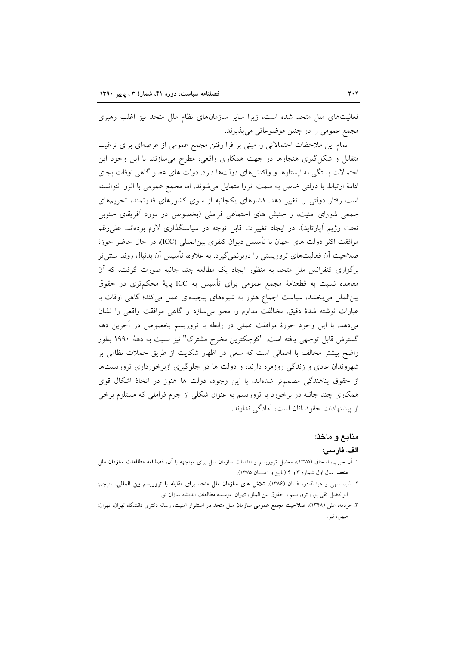فعالیتهای ملل متحد شده است، زیرا سایر سازمانهای نظام ملل متحد نیز اغلب رهبری مجمع عمومي را در چنين موضوعاتي مي پذيرند.

تمام این ملاحظات احتمالاتی را مبنی بر فرا رفتن مجمع عمومی از عرصهای برای ترغیب متقابل و شکل گیری هنجارها در جهت همکاری واقعی، مطرح میسازند. با این وجود این احتمالات بستگی به ایستارها و واکنشهای دولتها دارد. دولت های عضو گاهی اوقات بجای ادامهٔ ارتباط با دولتی خاص به سمت انزوا متمایل میشوند، اما مجمع عمومی با انزوا نتوانسته است رفتار دولتی را تغییر دهد. فشارهای یکجانبه از سوی کشورهای قدرتمند، تحریمهای جمعی شورای امنیت، و جنبش های اجتماعی فراملی (بخصوص در مورد آفریقای جنوبی تحت رژیم آپارتاید)، در ایجاد تغییرات قابل توجه در سیاستگذاری لازم بودهاند. علی رغم موافقت اکثر دولت های جهان با تأسیس دیوان کیفری بین|لمللی (ICC)، در حال حاضر حوزهٔ صلاحیت اَن فعالیتهای تروریستی را دربرنمی گیرد. به علاوه، تأسیس اَن بدنبال روند سنتی تر برگزاری کنفرانس ملل متحد به منظور ایجاد یک مطالعه چند جانبه صورت گرفت، که آن معاهده نسبت به قطعنامهٔ مجمع عمومی برای تأسیس به ICC پایهٔ محکمتری در حقوق بین الملل می بخشد، سیاست اجماع هنوز به شیوههای پیچیدهای عمل می کند؛ گاهی اوقات با عبارات نوشته شدهٔ دقیق، مخالفت مداوم را محو میسازد و گاهی موافقت واقعی را نشان می،دهد. با این وجود حوزهٔ موافقت عملی در رابطه با تروریسم بخصوص در آخرین دهه گسترش قابل توجهي يافته است. "كوچكترين مخرج مشترك" نيز نسبت به دههٔ ۱۹۹۰ بطور واضع بیشتر مخالف با اعمالی است که سعی در اظهار شکایت از طریق حملات نظامی بر شهروندان عادی و زندگی روزمره دارند، و دولت ها در جلوگیری ازبرخورداری تروریستها از حقوق پناهندگی مصممتر شدهاند، با این وجود، دولت ها هنوز در اتخاذ اشکال قوی همکاری چند جانبه در برخورد با تروریسم به عنوان شکلی از جرم فراملی که مستلزم برخی از پیشنهادات حقوقدانان است، آمادگی ندارند.

## منابع و ماخذ:

#### الف. فارسي:

- ۱. آل حبیب، اسحاق (۱۳۷۵)، معضل تروریسم و اقدامات سازمان ملل برای مواجهه با آن، فصلنامه مطالعات سازمان ملل متحد، سال اول شماره ۳ و ۴ (یاییز و زمستان ۱۳۷۵).
- ٢. النبا، سهى و عبدالقادر، غسان (١٣٨۶)، تلاش هاى سازمان ملل متحد براى مقابله با تروريسم بين المللى، مترجم: ابوالفضل تقى پور، تروريسم و حقوق بين الملل، تهران: موسسه مطالعات انديشه سازان نو.
- ۳. خردمه، علی (۱۳۴۸)، **صلاحیت مجمع عمومی سازمان ملل متحد در استقرار امنیت**، رساله دکتری دانشگاه تهران، تهران: ميهن، تير.